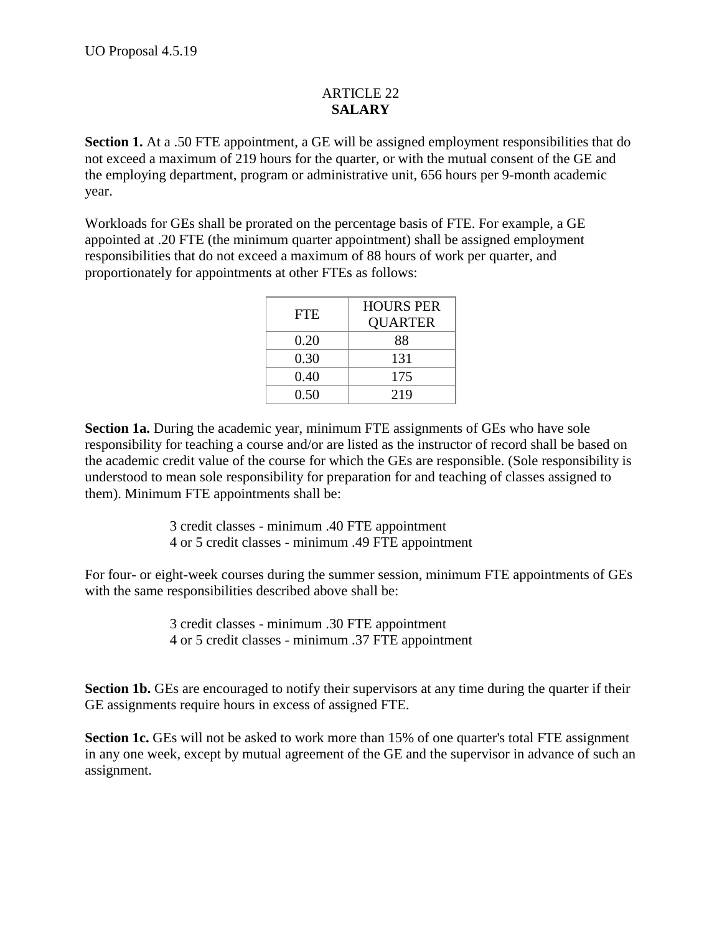## ARTICLE 22 **SALARY**

**Section 1.** At a .50 FTE appointment, a GE will be assigned employment responsibilities that do not exceed a maximum of 219 hours for the quarter, or with the mutual consent of the GE and the employing department, program or administrative unit, 656 hours per 9-month academic year.

Workloads for GEs shall be prorated on the percentage basis of FTE. For example, a GE appointed at .20 FTE (the minimum quarter appointment) shall be assigned employment responsibilities that do not exceed a maximum of 88 hours of work per quarter, and proportionately for appointments at other FTEs as follows:

| <b>FTE</b> | <b>HOURS PER</b> |
|------------|------------------|
|            | <b>QUARTER</b>   |
| 0.20       | 88               |
| 0.30       | 131              |
| 0.40       | 175              |
| 0.50       | 219              |

**Section 1a.** During the academic year, minimum FTE assignments of GEs who have sole responsibility for teaching a course and/or are listed as the instructor of record shall be based on the academic credit value of the course for which the GEs are responsible. (Sole responsibility is understood to mean sole responsibility for preparation for and teaching of classes assigned to them). Minimum FTE appointments shall be:

> 3 credit classes - minimum .40 FTE appointment 4 or 5 credit classes - minimum .49 FTE appointment

For four- or eight-week courses during the summer session, minimum FTE appointments of GEs with the same responsibilities described above shall be:

> 3 credit classes - minimum .30 FTE appointment 4 or 5 credit classes - minimum .37 FTE appointment

**Section 1b.** GEs are encouraged to notify their supervisors at any time during the quarter if their GE assignments require hours in excess of assigned FTE.

**Section 1c.** GEs will not be asked to work more than 15% of one quarter's total FTE assignment in any one week, except by mutual agreement of the GE and the supervisor in advance of such an assignment.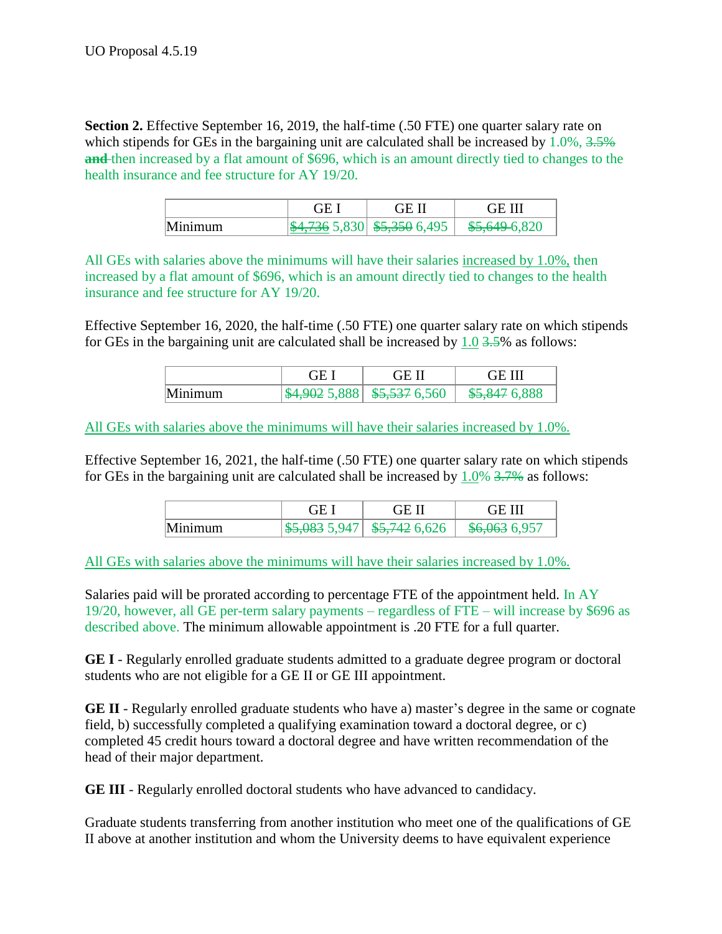**Section 2.** Effective September 16, 2019, the half-time (.50 FTE) one quarter salary rate on which stipends for GEs in the bargaining unit are calculated shall be increased by 1.0%, 3.5% **and** then increased by a flat amount of \$696, which is an amount directly tied to changes to the health insurance and fee structure for AY 19/20.

|         | GE 1 | GE II                             | <b>GE III</b> |
|---------|------|-----------------------------------|---------------|
| Minimum |      | $ \$4,736\;5,830 \$5,350\;6,495 $ | \$5,649-6,820 |

All GEs with salaries above the minimums will have their salaries increased by 1.0%, then increased by a flat amount of \$696, which is an amount directly tied to changes to the health insurance and fee structure for AY 19/20.

Effective September 16, 2020, the half-time (.50 FTE) one quarter salary rate on which stipends for GEs in the bargaining unit are calculated shall be increased by  $1.0$   $3.5\%$  as follows:

|         | . HF | -GE I' | <b>GE III</b> |
|---------|------|--------|---------------|
| Minimum |      |        | \$5,847 6,888 |

All GEs with salaries above the minimums will have their salaries increased by 1.0%.

Effective September 16, 2021, the half-time (.50 FTE) one quarter salary rate on which stipends for GEs in the bargaining unit are calculated shall be increased by  $1.0\%$  3.7% as follows:

|         | ΧF                       | . IF IT       | ≀÷⊨           |
|---------|--------------------------|---------------|---------------|
| Minimum | <del>\$5,083</del> 5,947 | \$5,742 6,626 | \$6,063 6,957 |

All GEs with salaries above the minimums will have their salaries increased by 1.0%.

Salaries paid will be prorated according to percentage FTE of the appointment held. In AY 19/20, however, all GE per-term salary payments – regardless of FTE – will increase by \$696 as described above. The minimum allowable appointment is .20 FTE for a full quarter.

**GE I** - Regularly enrolled graduate students admitted to a graduate degree program or doctoral students who are not eligible for a GE II or GE III appointment.

**GE II** - Regularly enrolled graduate students who have a) master's degree in the same or cognate field, b) successfully completed a qualifying examination toward a doctoral degree, or c) completed 45 credit hours toward a doctoral degree and have written recommendation of the head of their major department.

**GE III** - Regularly enrolled doctoral students who have advanced to candidacy.

Graduate students transferring from another institution who meet one of the qualifications of GE II above at another institution and whom the University deems to have equivalent experience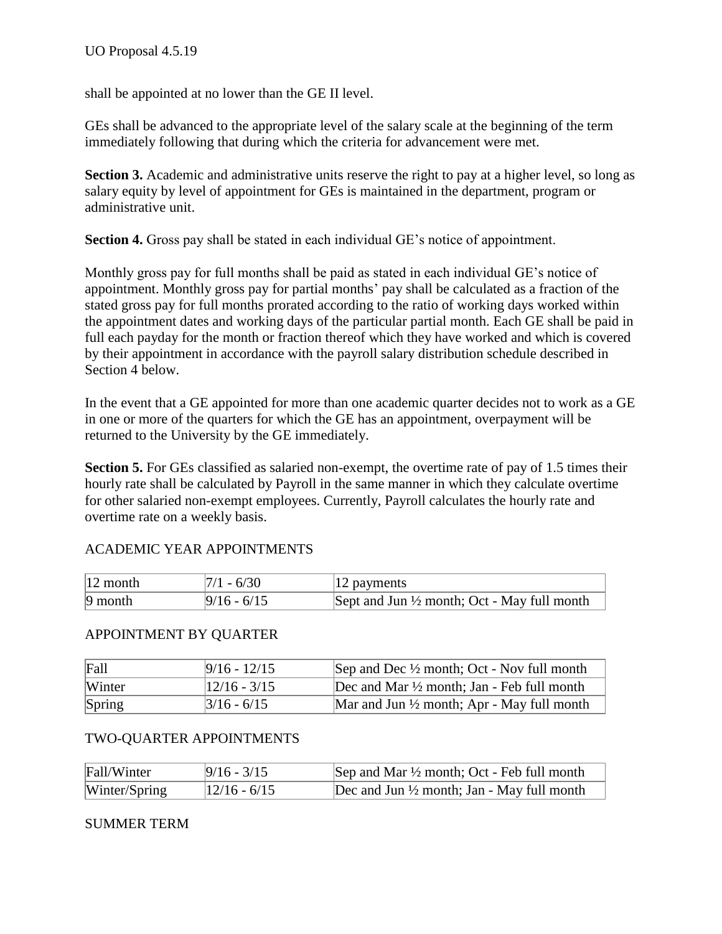shall be appointed at no lower than the GE II level.

GEs shall be advanced to the appropriate level of the salary scale at the beginning of the term immediately following that during which the criteria for advancement were met.

**Section 3.** Academic and administrative units reserve the right to pay at a higher level, so long as salary equity by level of appointment for GEs is maintained in the department, program or administrative unit.

**Section 4.** Gross pay shall be stated in each individual GE's notice of appointment.

Monthly gross pay for full months shall be paid as stated in each individual GE's notice of appointment. Monthly gross pay for partial months' pay shall be calculated as a fraction of the stated gross pay for full months prorated according to the ratio of working days worked within the appointment dates and working days of the particular partial month. Each GE shall be paid in full each payday for the month or fraction thereof which they have worked and which is covered by their appointment in accordance with the payroll salary distribution schedule described in Section 4 below.

In the event that a GE appointed for more than one academic quarter decides not to work as a GE in one or more of the quarters for which the GE has an appointment, overpayment will be returned to the University by the GE immediately.

**Section 5.** For GEs classified as salaried non-exempt, the overtime rate of pay of 1.5 times their hourly rate shall be calculated by Payroll in the same manner in which they calculate overtime for other salaried non-exempt employees. Currently, Payroll calculates the hourly rate and overtime rate on a weekly basis.

# ACADEMIC YEAR APPOINTMENTS

| $ 12 \text{ month} $ | $7/1 - 6/30$  | $12$ payments                                          |
|----------------------|---------------|--------------------------------------------------------|
| $ 9$ month           | $9/16 - 6/15$ | Sept and Jun $\frac{1}{2}$ month; Oct - May full month |

### APPOINTMENT BY QUARTER

| Fall   | $9/16 - 12/15$        | Sep and Dec $\frac{1}{2}$ month; Oct - Nov full month |
|--------|-----------------------|-------------------------------------------------------|
| Winter | 12/16 - 3/15          | Dec and Mar $\frac{1}{2}$ month; Jan - Feb full month |
| Spring | $\frac{3}{16}$ - 6/15 | Mar and Jun $\frac{1}{2}$ month; Apr - May full month |

### TWO-QUARTER APPOINTMENTS

| Fall/Winter   | $9/16 - 3/15$    | Sep and Mar $\frac{1}{2}$ month; Oct - Feb full month |
|---------------|------------------|-------------------------------------------------------|
| Winter/Spring | $ 12/16 - 6/15 $ | Dec and Jun $\frac{1}{2}$ month; Jan - May full month |

### SUMMER TERM